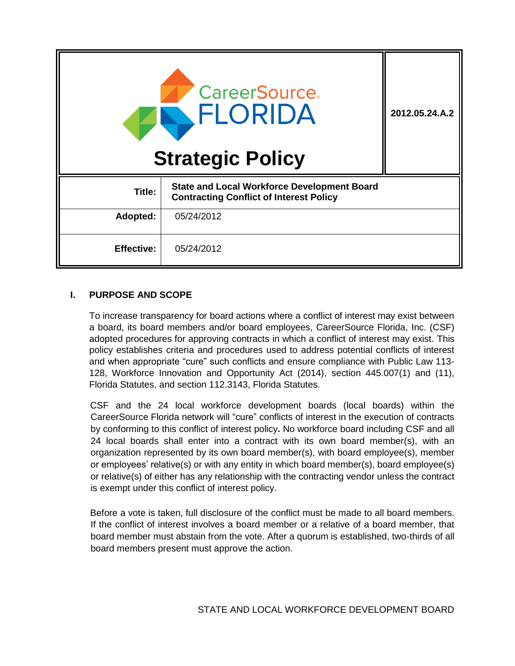| <b>CareerSource.</b><br>ELORIDA<br><b>Strategic Policy</b> |                                                                                                      | 2012.05.24.A.2 |
|------------------------------------------------------------|------------------------------------------------------------------------------------------------------|----------------|
| Title:                                                     | <b>State and Local Workforce Development Board</b><br><b>Contracting Conflict of Interest Policy</b> |                |
| Adopted:                                                   | 05/24/2012                                                                                           |                |
| <b>Effective:</b>                                          | 05/24/2012                                                                                           |                |

# **I. PURPOSE AND SCOPE**

To increase transparency for board actions where a conflict of interest may exist between a board, its board members and/or board employees, CareerSource Florida, Inc. (CSF) adopted procedures for approving contracts in which a conflict of interest may exist. This policy establishes criteria and procedures used to address potential conflicts of interest and when appropriate "cure" such conflicts and ensure compliance with Public Law 113- 128, Workforce Innovation and Opportunity Act (2014), section 445.007(1) and (11), Florida Statutes, and section 112.3143, Florida Statutes.

CSF and the 24 local workforce development boards (local boards) within the CareerSource Florida network will "cure" conflicts of interest in the execution of contracts by conforming to this conflict of interest policy**.** No workforce board including CSF and all 24 local boards shall enter into a contract with its own board member(s), with an organization represented by its own board member(s), with board employee(s), member or employees' relative(s) or with any entity in which board member(s), board employee(s) or relative(s) of either has any relationship with the contracting vendor unless the contract is exempt under this conflict of interest policy.

Before a vote is taken, full disclosure of the conflict must be made to all board members. If the conflict of interest involves a board member or a relative of a board member, that board member must abstain from the vote. After a quorum is established, two-thirds of all board members present must approve the action.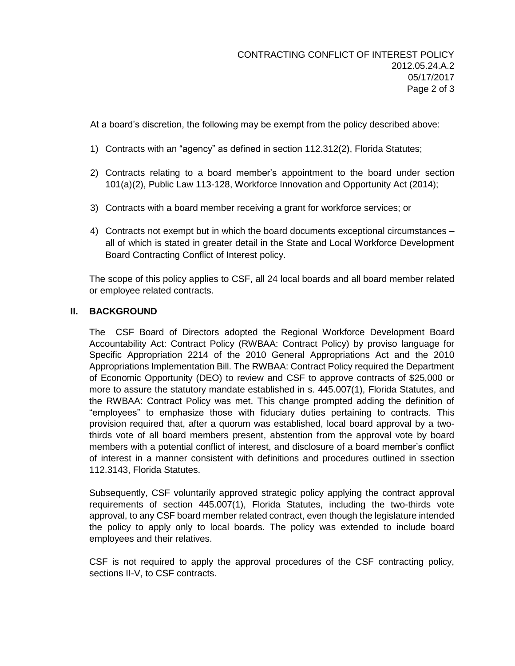At a board's discretion, the following may be exempt from the policy described above:

- 1) Contracts with an "agency" as defined in section 112.312(2), Florida Statutes;
- 2) Contracts relating to a board member's appointment to the board under section 101(a)(2), Public Law 113-128, Workforce Innovation and Opportunity Act (2014);
- 3) Contracts with a board member receiving a grant for workforce services; or
- 4) Contracts not exempt but in which the board documents exceptional circumstances all of which is stated in greater detail in the State and Local Workforce Development Board Contracting Conflict of Interest policy.

The scope of this policy applies to CSF, all 24 local boards and all board member related or employee related contracts.

# **II. BACKGROUND**

The CSF Board of Directors adopted the Regional Workforce Development Board Accountability Act: Contract Policy (RWBAA: Contract Policy) by proviso language for Specific Appropriation 2214 of the 2010 General Appropriations Act and the 2010 Appropriations Implementation Bill. The RWBAA: Contract Policy required the Department of Economic Opportunity (DEO) to review and CSF to approve contracts of \$25,000 or more to assure the statutory mandate established in s. 445.007(1), Florida Statutes, and the RWBAA: Contract Policy was met. This change prompted adding the definition of "employees" to emphasize those with fiduciary duties pertaining to contracts. This provision required that, after a quorum was established, local board approval by a twothirds vote of all board members present, abstention from the approval vote by board members with a potential conflict of interest, and disclosure of a board member's conflict of interest in a manner consistent with definitions and procedures outlined in ssection 112.3143, Florida Statutes.

Subsequently, CSF voluntarily approved strategic policy applying the contract approval requirements of section 445.007(1), Florida Statutes, including the two-thirds vote approval, to any CSF board member related contract, even though the legislature intended the policy to apply only to local boards. The policy was extended to include board employees and their relatives.

CSF is not required to apply the approval procedures of the CSF contracting policy, sections II-V, to CSF contracts.